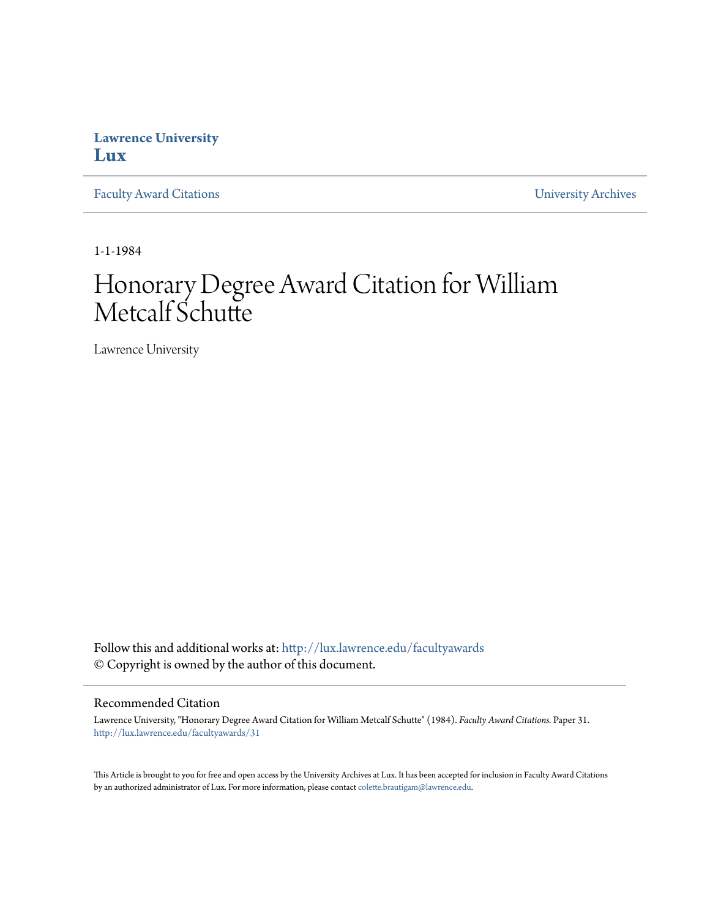## **Lawrence University [Lux](http://lux.lawrence.edu?utm_source=lux.lawrence.edu%2Ffacultyawards%2F31&utm_medium=PDF&utm_campaign=PDFCoverPages)**

[Faculty Award Citations](http://lux.lawrence.edu/facultyawards?utm_source=lux.lawrence.edu%2Ffacultyawards%2F31&utm_medium=PDF&utm_campaign=PDFCoverPages) **Example 2018** [University Archives](http://lux.lawrence.edu/archives?utm_source=lux.lawrence.edu%2Ffacultyawards%2F31&utm_medium=PDF&utm_campaign=PDFCoverPages)

1-1-1984

# Honorary Degree Award Citation for William Metcalf Schutte

Lawrence University

Follow this and additional works at: [http://lux.lawrence.edu/facultyawards](http://lux.lawrence.edu/facultyawards?utm_source=lux.lawrence.edu%2Ffacultyawards%2F31&utm_medium=PDF&utm_campaign=PDFCoverPages) © Copyright is owned by the author of this document.

#### Recommended Citation

Lawrence University, "Honorary Degree Award Citation for William Metcalf Schutte" (1984). *Faculty Award Citations.* Paper 31. [http://lux.lawrence.edu/facultyawards/31](http://lux.lawrence.edu/facultyawards/31?utm_source=lux.lawrence.edu%2Ffacultyawards%2F31&utm_medium=PDF&utm_campaign=PDFCoverPages)

This Article is brought to you for free and open access by the University Archives at Lux. It has been accepted for inclusion in Faculty Award Citations by an authorized administrator of Lux. For more information, please contact [colette.brautigam@lawrence.edu](mailto:colette.brautigam@lawrence.edu).